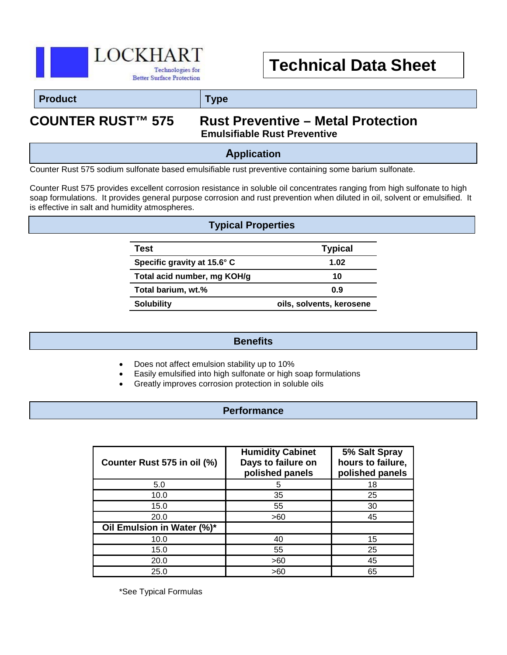

## **Technical Data Sheet**

#### **Product Type**

# **COUNTER RUST™ 575 Rust Preventive – Metal Protection Emulsifiable Rust Preventive**

### **Application**

Counter Rust 575 sodium sulfonate based emulsifiable rust preventive containing some barium sulfonate.

Counter Rust 575 provides excellent corrosion resistance in soluble oil concentrates ranging from high sulfonate to high soap formulations. It provides general purpose corrosion and rust prevention when diluted in oil, solvent or emulsified. It is effective in salt and humidity atmospheres.

#### **Typical Properties**

| Test                        | <b>Typical</b>           |
|-----------------------------|--------------------------|
| Specific gravity at 15.6° C | 1.02                     |
| Total acid number, mg KOH/g | 10                       |
| Total barium, wt.%          | 0.9                      |
| <b>Solubility</b>           | oils, solvents, kerosene |

#### **Benefits**

- Does not affect emulsion stability up to 10%
- Easily emulsified into high sulfonate or high soap formulations
- Greatly improves corrosion protection in soluble oils

#### **Performance**

| Counter Rust 575 in oil (%) | <b>Humidity Cabinet</b><br>Days to failure on<br>polished panels | 5% Salt Spray<br>hours to failure,<br>polished panels |
|-----------------------------|------------------------------------------------------------------|-------------------------------------------------------|
| 5.0                         |                                                                  | 18                                                    |
| 10.0                        | 35                                                               | 25                                                    |
| 15.0                        | 55                                                               | 30                                                    |
| 20.0                        | >60                                                              | 45                                                    |
| Oil Emulsion in Water (%)*  |                                                                  |                                                       |
| 10.0                        | 40                                                               | 15                                                    |
| 15.0                        | 55                                                               | 25                                                    |
| 20.0                        | >60                                                              | 45                                                    |
| 25.0                        | >60                                                              | 65                                                    |

\*See Typical Formulas